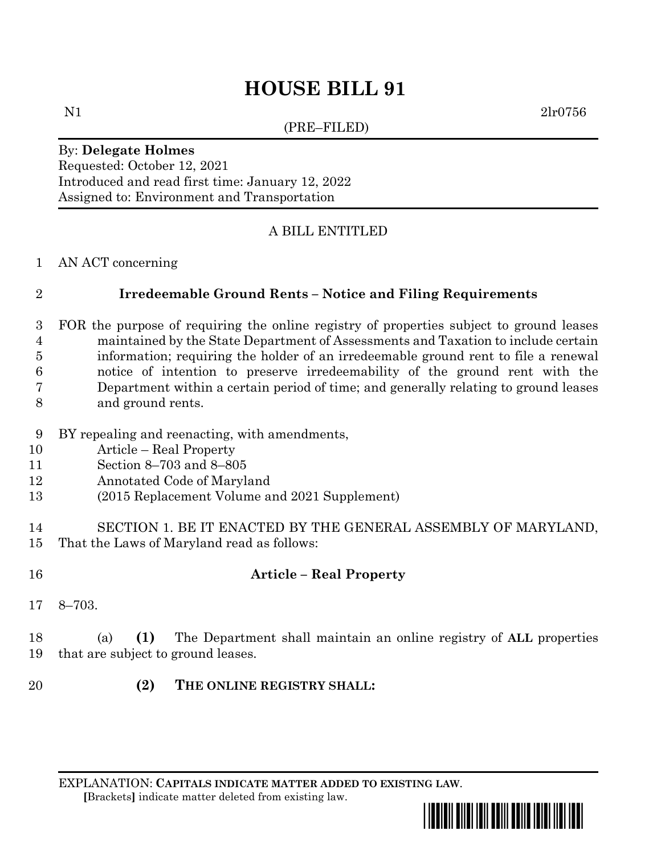# **HOUSE BILL 91**

(PRE–FILED)

N1 2lr0756

#### By: **Delegate Holmes**

Requested: October 12, 2021 Introduced and read first time: January 12, 2022 Assigned to: Environment and Transportation

#### A BILL ENTITLED

#### AN ACT concerning

## **Irredeemable Ground Rents – Notice and Filing Requirements**

- FOR the purpose of requiring the online registry of properties subject to ground leases maintained by the State Department of Assessments and Taxation to include certain information; requiring the holder of an irredeemable ground rent to file a renewal notice of intention to preserve irredeemability of the ground rent with the Department within a certain period of time; and generally relating to ground leases and ground rents.
- BY repealing and reenacting, with amendments,
- Article Real Property
- Section 8–703 and 8–805
- Annotated Code of Maryland
- (2015 Replacement Volume and 2021 Supplement)
- SECTION 1. BE IT ENACTED BY THE GENERAL ASSEMBLY OF MARYLAND, That the Laws of Maryland read as follows:
- **Article – Real Property**
- 8–703.

 (a) **(1)** The Department shall maintain an online registry of **ALL** properties that are subject to ground leases.

**(2) THE ONLINE REGISTRY SHALL:**

EXPLANATION: **CAPITALS INDICATE MATTER ADDED TO EXISTING LAW**.  **[**Brackets**]** indicate matter deleted from existing law.

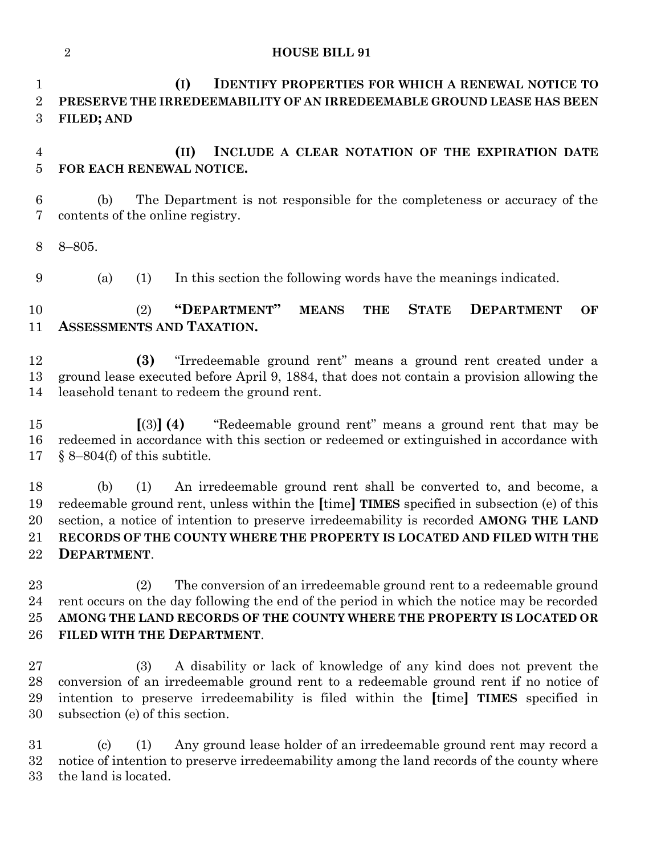#### **HOUSE BILL 91**

 **(I) IDENTIFY PROPERTIES FOR WHICH A RENEWAL NOTICE TO PRESERVE THE IRREDEEMABILITY OF AN IRREDEEMABLE GROUND LEASE HAS BEEN FILED; AND** 

 **(II) INCLUDE A CLEAR NOTATION OF THE EXPIRATION DATE FOR EACH RENEWAL NOTICE.**

 (b) The Department is not responsible for the completeness or accuracy of the contents of the online registry.

8–805.

(a) (1) In this section the following words have the meanings indicated.

 (2) **"DEPARTMENT" MEANS THE STATE DEPARTMENT OF ASSESSMENTS AND TAXATION.**

 **(3)** "Irredeemable ground rent" means a ground rent created under a ground lease executed before April 9, 1884, that does not contain a provision allowing the leasehold tenant to redeem the ground rent.

 **[**(3)**] (4)** "Redeemable ground rent" means a ground rent that may be redeemed in accordance with this section or redeemed or extinguished in accordance with § 8–804(f) of this subtitle.

 (b) (1) An irredeemable ground rent shall be converted to, and become, a redeemable ground rent, unless within the **[**time**] TIMES** specified in subsection (e) of this section, a notice of intention to preserve irredeemability is recorded **AMONG THE LAND RECORDS OF THE COUNTY WHERE THE PROPERTY IS LOCATED AND FILED WITH THE DEPARTMENT**.

 (2) The conversion of an irredeemable ground rent to a redeemable ground rent occurs on the day following the end of the period in which the notice may be recorded **AMONG THE LAND RECORDS OF THE COUNTY WHERE THE PROPERTY IS LOCATED OR FILED WITH THE DEPARTMENT**.

 (3) A disability or lack of knowledge of any kind does not prevent the conversion of an irredeemable ground rent to a redeemable ground rent if no notice of intention to preserve irredeemability is filed within the **[**time**] TIMES** specified in subsection (e) of this section.

 (c) (1) Any ground lease holder of an irredeemable ground rent may record a notice of intention to preserve irredeemability among the land records of the county where the land is located.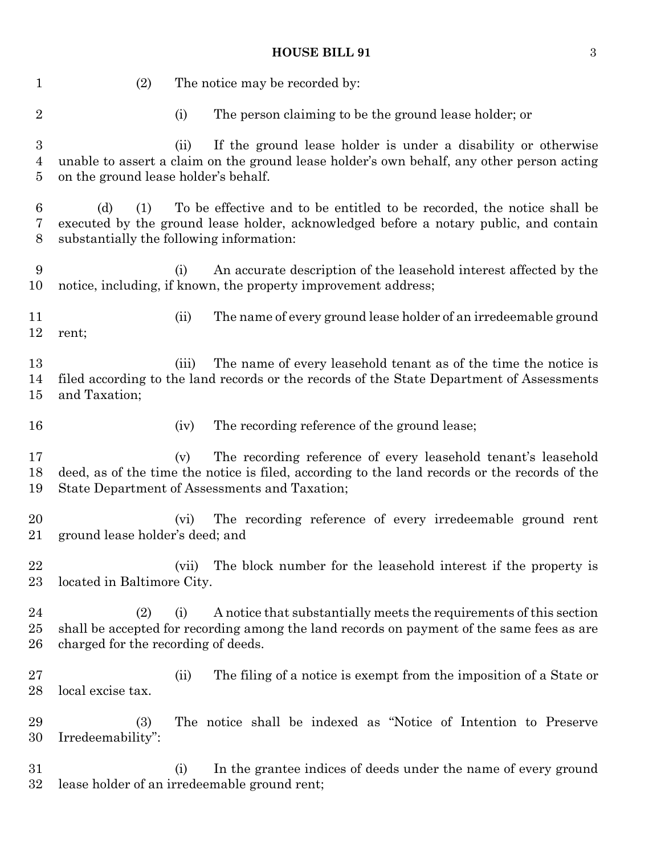## **HOUSE BILL 91** 3

| $\mathbf{1}$           | (2)                                                    |       | The notice may be recorded by:                                                                                                                                                                                  |
|------------------------|--------------------------------------------------------|-------|-----------------------------------------------------------------------------------------------------------------------------------------------------------------------------------------------------------------|
| $\overline{2}$         |                                                        | (i)   | The person claiming to be the ground lease holder; or                                                                                                                                                           |
| 3<br>4<br>5            | on the ground lease holder's behalf.                   | (ii)  | If the ground lease holder is under a disability or otherwise<br>unable to assert a claim on the ground lease holder's own behalf, any other person acting                                                      |
| 6<br>7<br>8            | (d)<br>(1)<br>substantially the following information: |       | To be effective and to be entitled to be recorded, the notice shall be<br>executed by the ground lease holder, acknowledged before a notary public, and contain                                                 |
| 9<br>10                |                                                        | (i)   | An accurate description of the leasehold interest affected by the<br>notice, including, if known, the property improvement address;                                                                             |
| 11<br>12               | rent;                                                  | (ii)  | The name of every ground lease holder of an irredeemable ground                                                                                                                                                 |
| 13<br>14<br>$15\,$     | and Taxation;                                          | (iii) | The name of every leasehold tenant as of the time the notice is<br>filed according to the land records or the records of the State Department of Assessments                                                    |
| 16                     |                                                        | (iv)  | The recording reference of the ground lease;                                                                                                                                                                    |
| 17<br>18<br>19         |                                                        | (v)   | The recording reference of every leasehold tenant's leasehold<br>deed, as of the time the notice is filed, according to the land records or the records of the<br>State Department of Assessments and Taxation; |
| 20<br>21               | ground lease holder's deed; and                        | (vi)  | The recording reference of every irredeemable ground rent                                                                                                                                                       |
| 22<br>$23\,$           | located in Baltimore City.                             | (vii) | The block number for the leasehold interest if the property is                                                                                                                                                  |
| 24<br>$25\,$<br>$26\,$ | (2)<br>charged for the recording of deeds.             | (i)   | A notice that substantially meets the requirements of this section<br>shall be accepted for recording among the land records on payment of the same fees as are                                                 |
| $27\,$<br>$^{28}$      | local excise tax.                                      | (ii)  | The filing of a notice is exempt from the imposition of a State or                                                                                                                                              |
| 29<br>30               | (3)<br>Irredeemability":                               |       | The notice shall be indexed as "Notice of Intention to Preserve                                                                                                                                                 |
| $31\,$<br>$32\,$       |                                                        | (i)   | In the grantee indices of deeds under the name of every ground<br>lease holder of an irredeemable ground rent;                                                                                                  |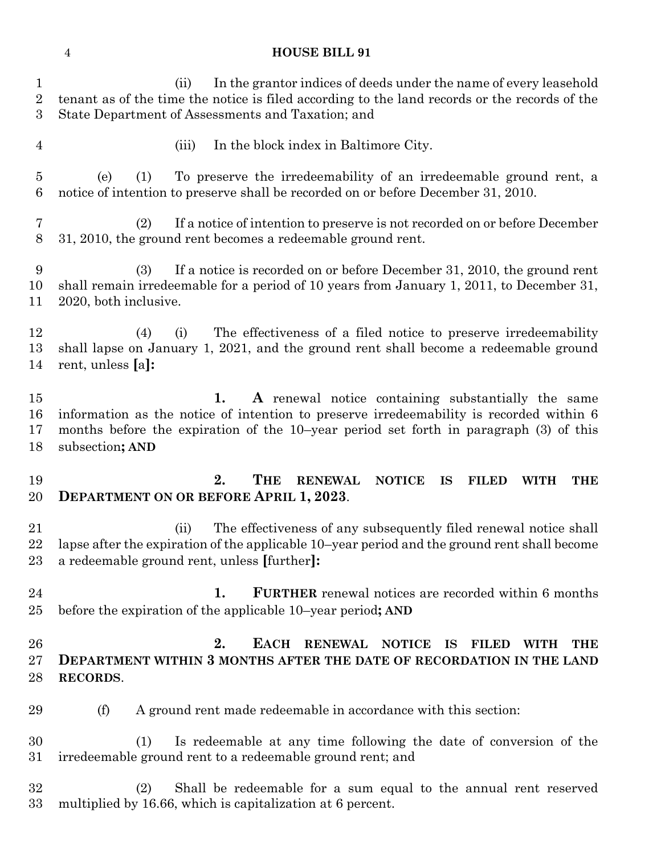## **HOUSE BILL 91**

| $\mathbf{1}$<br>$\overline{2}$<br>3 | In the grantor indices of deeds under the name of every leasehold<br>(ii)<br>tenant as of the time the notice is filed according to the land records or the records of the<br>State Department of Assessments and Taxation; and                                 |  |  |  |
|-------------------------------------|-----------------------------------------------------------------------------------------------------------------------------------------------------------------------------------------------------------------------------------------------------------------|--|--|--|
| $\overline{4}$                      | In the block index in Baltimore City.<br>(iii)                                                                                                                                                                                                                  |  |  |  |
| $\overline{5}$<br>6                 | To preserve the irredeemability of an irredeemable ground rent, a<br>(e)<br>(1)<br>notice of intention to preserve shall be recorded on or before December 31, 2010.                                                                                            |  |  |  |
| 7<br>8                              | If a notice of intention to preserve is not recorded on or before December<br>(2)<br>31, 2010, the ground rent becomes a redeemable ground rent.                                                                                                                |  |  |  |
| 9<br>10<br>11                       | (3)<br>If a notice is recorded on or before December 31, 2010, the ground rent<br>shall remain irredeemable for a period of 10 years from January 1, 2011, to December 31,<br>2020, both inclusive.                                                             |  |  |  |
| 12<br>13<br>14                      | The effectiveness of a filed notice to preserve irredeemability<br>(4)<br>(i)<br>shall lapse on January 1, 2021, and the ground rent shall become a redeemable ground<br>rent, unless [a]:                                                                      |  |  |  |
| 15<br>16<br>17<br>18                | 1.<br>A renewal notice containing substantially the same<br>information as the notice of intention to preserve irredeemability is recorded within 6<br>months before the expiration of the 10-year period set forth in paragraph (3) of this<br>subsection; AND |  |  |  |
| 19<br>20                            | 2.<br><b>THE</b><br><b>RENEWAL</b><br><b>NOTICE</b><br><b>IS</b><br><b>FILED</b><br><b>WITH</b><br><b>THE</b><br><b>DEPARTMENT ON OR BEFORE APRIL 1, 2023.</b>                                                                                                  |  |  |  |
| 21<br>22<br>23                      | The effectiveness of any subsequently filed renewal notice shall<br>(ii)<br>lapse after the expiration of the applicable 10-year period and the ground rent shall become<br>a redeemable ground rent, unless [further]:                                         |  |  |  |
| 24<br>$25\,$                        | <b>FURTHER</b> renewal notices are recorded within 6 months<br>1.<br>before the expiration of the applicable 10–year period; AND                                                                                                                                |  |  |  |
|                                     |                                                                                                                                                                                                                                                                 |  |  |  |
| 26<br>$27\,$<br>28                  | <b>EACH</b><br>2.<br><b>RENEWAL</b><br><b>NOTICE</b><br>IS<br><b>FILED</b><br><b>THE</b><br><b>WITH</b><br><b>DEPARTMENT WITHIN 3 MONTHS AFTER THE DATE OF RECORDATION IN THE LAND</b><br>RECORDS.                                                              |  |  |  |
| 29                                  | A ground rent made redeemable in accordance with this section:<br>(f)                                                                                                                                                                                           |  |  |  |
| 30<br>$31\,$                        | Is redeemable at any time following the date of conversion of the<br>(1)<br>irredeemable ground rent to a redeemable ground rent; and                                                                                                                           |  |  |  |